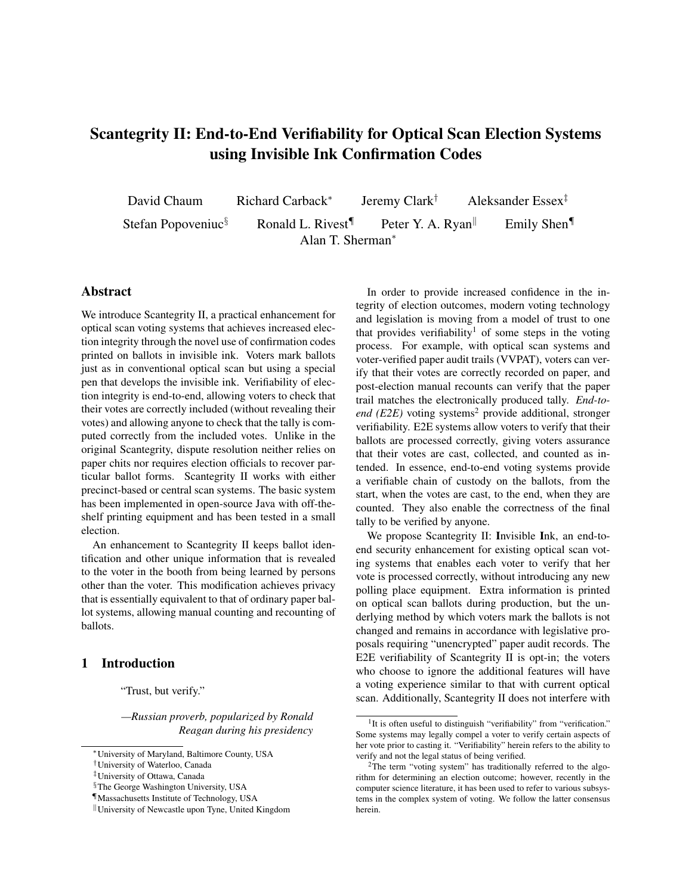# Scantegrity II: End-to-End Verifiability for Optical Scan Election Systems using Invisible Ink Confirmation Codes

David Chaum Richard Carback<sup>∗</sup> Jeremy Clark† Aleksander Essex‡ Stefan Popoveniuc<sup>§</sup> Ronald L. Rivest<sup>¶</sup> Peter Y. A. Ryan<sup>|</sup> Emily Shen<sup>¶</sup> Alan T. Sherman<sup>∗</sup>

# Abstract

We introduce Scantegrity II, a practical enhancement for optical scan voting systems that achieves increased election integrity through the novel use of confirmation codes printed on ballots in invisible ink. Voters mark ballots just as in conventional optical scan but using a special pen that develops the invisible ink. Verifiability of election integrity is end-to-end, allowing voters to check that their votes are correctly included (without revealing their votes) and allowing anyone to check that the tally is computed correctly from the included votes. Unlike in the original Scantegrity, dispute resolution neither relies on paper chits nor requires election officials to recover particular ballot forms. Scantegrity II works with either precinct-based or central scan systems. The basic system has been implemented in open-source Java with off-theshelf printing equipment and has been tested in a small election.

An enhancement to Scantegrity II keeps ballot identification and other unique information that is revealed to the voter in the booth from being learned by persons other than the voter. This modification achieves privacy that is essentially equivalent to that of ordinary paper ballot systems, allowing manual counting and recounting of ballots.

# 1 Introduction

"Trust, but verify."

*—Russian proverb, popularized by Ronald Reagan during his presidency*

In order to provide increased confidence in the integrity of election outcomes, modern voting technology and legislation is moving from a model of trust to one that provides verifiability<sup>1</sup> of some steps in the voting process. For example, with optical scan systems and voter-verified paper audit trails (VVPAT), voters can verify that their votes are correctly recorded on paper, and post-election manual recounts can verify that the paper trail matches the electronically produced tally. *End-to* $end$  ( $E2E$ ) voting systems<sup>2</sup> provide additional, stronger verifiability. E2E systems allow voters to verify that their ballots are processed correctly, giving voters assurance that their votes are cast, collected, and counted as intended. In essence, end-to-end voting systems provide a verifiable chain of custody on the ballots, from the start, when the votes are cast, to the end, when they are counted. They also enable the correctness of the final tally to be verified by anyone.

We propose Scantegrity II: Invisible Ink, an end-toend security enhancement for existing optical scan voting systems that enables each voter to verify that her vote is processed correctly, without introducing any new polling place equipment. Extra information is printed on optical scan ballots during production, but the underlying method by which voters mark the ballots is not changed and remains in accordance with legislative proposals requiring "unencrypted" paper audit records. The E2E verifiability of Scantegrity II is opt-in; the voters who choose to ignore the additional features will have a voting experience similar to that with current optical scan. Additionally, Scantegrity II does not interfere with

<sup>∗</sup>University of Maryland, Baltimore County, USA

<sup>†</sup>University of Waterloo, Canada

<sup>‡</sup>University of Ottawa, Canada

<sup>§</sup>The George Washington University, USA

<sup>¶</sup>Massachusetts Institute of Technology, USA

University of Newcastle upon Tyne, United Kingdom

<sup>&</sup>lt;sup>1</sup>It is often useful to distinguish "verifiability" from "verification." Some systems may legally compel a voter to verify certain aspects of her vote prior to casting it. "Verifiability" herein refers to the ability to verify and not the legal status of being verified.

<sup>2</sup>The term "voting system" has traditionally referred to the algorithm for determining an election outcome; however, recently in the computer science literature, it has been used to refer to various subsystems in the complex system of voting. We follow the latter consensus herein.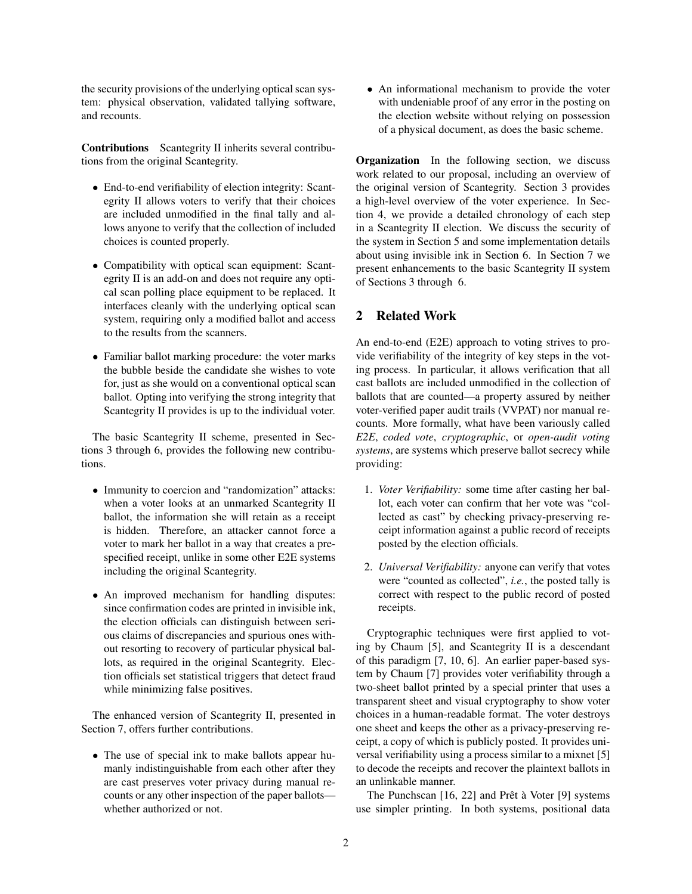the security provisions of the underlying optical scan system: physical observation, validated tallying software, and recounts.

Contributions Scantegrity II inherits several contributions from the original Scantegrity.

- End-to-end verifiability of election integrity: Scantegrity II allows voters to verify that their choices are included unmodified in the final tally and allows anyone to verify that the collection of included choices is counted properly.
- Compatibility with optical scan equipment: Scantegrity II is an add-on and does not require any optical scan polling place equipment to be replaced. It interfaces cleanly with the underlying optical scan system, requiring only a modified ballot and access to the results from the scanners.
- Familiar ballot marking procedure: the voter marks the bubble beside the candidate she wishes to vote for, just as she would on a conventional optical scan ballot. Opting into verifying the strong integrity that Scantegrity II provides is up to the individual voter.

The basic Scantegrity II scheme, presented in Sections 3 through 6, provides the following new contributions.

- Immunity to coercion and "randomization" attacks: when a voter looks at an unmarked Scantegrity II ballot, the information she will retain as a receipt is hidden. Therefore, an attacker cannot force a voter to mark her ballot in a way that creates a prespecified receipt, unlike in some other E2E systems including the original Scantegrity.
- An improved mechanism for handling disputes: since confirmation codes are printed in invisible ink, the election officials can distinguish between serious claims of discrepancies and spurious ones without resorting to recovery of particular physical ballots, as required in the original Scantegrity. Election officials set statistical triggers that detect fraud while minimizing false positives.

The enhanced version of Scantegrity II, presented in Section 7, offers further contributions.

• The use of special ink to make ballots appear humanly indistinguishable from each other after they are cast preserves voter privacy during manual recounts or any other inspection of the paper ballots whether authorized or not.

• An informational mechanism to provide the voter with undeniable proof of any error in the posting on the election website without relying on possession of a physical document, as does the basic scheme.

Organization In the following section, we discuss work related to our proposal, including an overview of the original version of Scantegrity. Section 3 provides a high-level overview of the voter experience. In Section 4, we provide a detailed chronology of each step in a Scantegrity II election. We discuss the security of the system in Section 5 and some implementation details about using invisible ink in Section 6. In Section 7 we present enhancements to the basic Scantegrity II system of Sections 3 through 6.

# 2 Related Work

An end-to-end (E2E) approach to voting strives to provide verifiability of the integrity of key steps in the voting process. In particular, it allows verification that all cast ballots are included unmodified in the collection of ballots that are counted—a property assured by neither voter-verified paper audit trails (VVPAT) nor manual recounts. More formally, what have been variously called *E2E*, *coded vote*, *cryptographic*, or *open-audit voting systems*, are systems which preserve ballot secrecy while providing:

- 1. *Voter Verifiability:* some time after casting her ballot, each voter can confirm that her vote was "collected as cast" by checking privacy-preserving receipt information against a public record of receipts posted by the election officials.
- 2. *Universal Verifiability:* anyone can verify that votes were "counted as collected", *i.e.*, the posted tally is correct with respect to the public record of posted receipts.

Cryptographic techniques were first applied to voting by Chaum [5], and Scantegrity II is a descendant of this paradigm [7, 10, 6]. An earlier paper-based system by Chaum [7] provides voter verifiability through a two-sheet ballot printed by a special printer that uses a transparent sheet and visual cryptography to show voter choices in a human-readable format. The voter destroys one sheet and keeps the other as a privacy-preserving receipt, a copy of which is publicly posted. It provides universal verifiability using a process similar to a mixnet [5] to decode the receipts and recover the plaintext ballots in an unlinkable manner.

The Punchscan  $[16, 22]$  and Prêt à Voter  $[9]$  systems use simpler printing. In both systems, positional data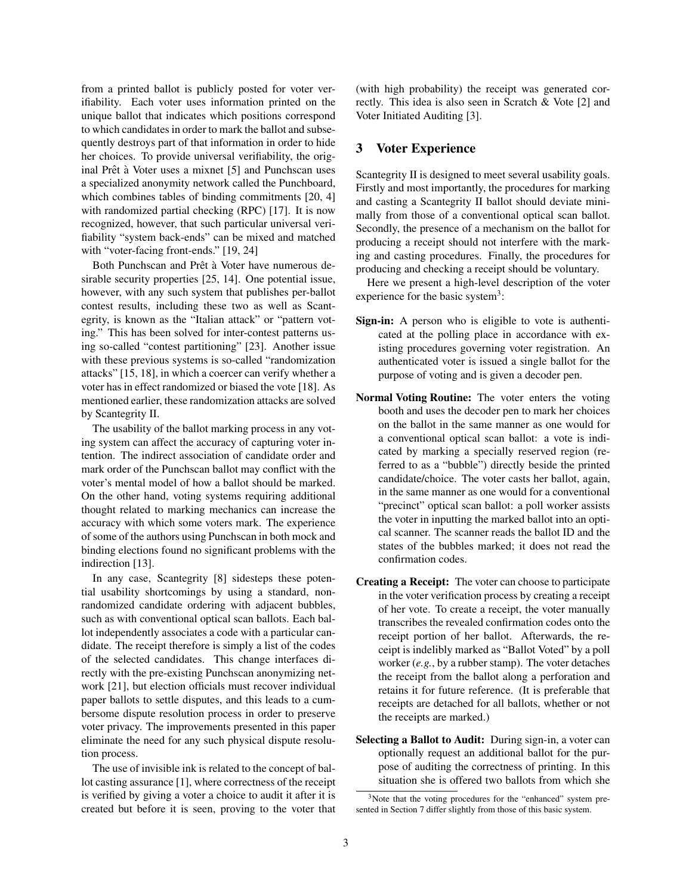from a printed ballot is publicly posted for voter verifiability. Each voter uses information printed on the unique ballot that indicates which positions correspond to which candidates in order to mark the ballot and subsequently destroys part of that information in order to hide her choices. To provide universal verifiability, the original Prêt à Voter uses a mixnet [5] and Punchscan uses a specialized anonymity network called the Punchboard, which combines tables of binding commitments [20, 4] with randomized partial checking (RPC) [17]. It is now recognized, however, that such particular universal verifiability "system back-ends" can be mixed and matched with "voter-facing front-ends." [19, 24]

Both Punchscan and Prêt à Voter have numerous desirable security properties [25, 14]. One potential issue, however, with any such system that publishes per-ballot contest results, including these two as well as Scantegrity, is known as the "Italian attack" or "pattern voting." This has been solved for inter-contest patterns using so-called "contest partitioning" [23]. Another issue with these previous systems is so-called "randomization attacks" [15, 18], in which a coercer can verify whether a voter has in effect randomized or biased the vote [18]. As mentioned earlier, these randomization attacks are solved by Scantegrity II.

The usability of the ballot marking process in any voting system can affect the accuracy of capturing voter intention. The indirect association of candidate order and mark order of the Punchscan ballot may conflict with the voter's mental model of how a ballot should be marked. On the other hand, voting systems requiring additional thought related to marking mechanics can increase the accuracy with which some voters mark. The experience of some of the authors using Punchscan in both mock and binding elections found no significant problems with the indirection [13].

In any case, Scantegrity [8] sidesteps these potential usability shortcomings by using a standard, nonrandomized candidate ordering with adjacent bubbles, such as with conventional optical scan ballots. Each ballot independently associates a code with a particular candidate. The receipt therefore is simply a list of the codes of the selected candidates. This change interfaces directly with the pre-existing Punchscan anonymizing network [21], but election officials must recover individual paper ballots to settle disputes, and this leads to a cumbersome dispute resolution process in order to preserve voter privacy. The improvements presented in this paper eliminate the need for any such physical dispute resolution process.

The use of invisible ink is related to the concept of ballot casting assurance [1], where correctness of the receipt is verified by giving a voter a choice to audit it after it is created but before it is seen, proving to the voter that (with high probability) the receipt was generated correctly. This idea is also seen in Scratch & Vote [2] and Voter Initiated Auditing [3].

#### 3 Voter Experience

Scantegrity II is designed to meet several usability goals. Firstly and most importantly, the procedures for marking and casting a Scantegrity II ballot should deviate minimally from those of a conventional optical scan ballot. Secondly, the presence of a mechanism on the ballot for producing a receipt should not interfere with the marking and casting procedures. Finally, the procedures for producing and checking a receipt should be voluntary.

Here we present a high-level description of the voter experience for the basic system<sup>3</sup>:

- Sign-in: A person who is eligible to vote is authenticated at the polling place in accordance with existing procedures governing voter registration. An authenticated voter is issued a single ballot for the purpose of voting and is given a decoder pen.
- Normal Voting Routine: The voter enters the voting booth and uses the decoder pen to mark her choices on the ballot in the same manner as one would for a conventional optical scan ballot: a vote is indicated by marking a specially reserved region (referred to as a "bubble") directly beside the printed candidate/choice. The voter casts her ballot, again, in the same manner as one would for a conventional "precinct" optical scan ballot: a poll worker assists the voter in inputting the marked ballot into an optical scanner. The scanner reads the ballot ID and the states of the bubbles marked; it does not read the confirmation codes.
- Creating a Receipt: The voter can choose to participate in the voter verification process by creating a receipt of her vote. To create a receipt, the voter manually transcribes the revealed confirmation codes onto the receipt portion of her ballot. Afterwards, the receipt is indelibly marked as "Ballot Voted" by a poll worker (*e.g.*, by a rubber stamp). The voter detaches the receipt from the ballot along a perforation and retains it for future reference. (It is preferable that receipts are detached for all ballots, whether or not the receipts are marked.)
- Selecting a Ballot to Audit: During sign-in, a voter can optionally request an additional ballot for the purpose of auditing the correctness of printing. In this situation she is offered two ballots from which she

<sup>&</sup>lt;sup>3</sup>Note that the voting procedures for the "enhanced" system presented in Section 7 differ slightly from those of this basic system.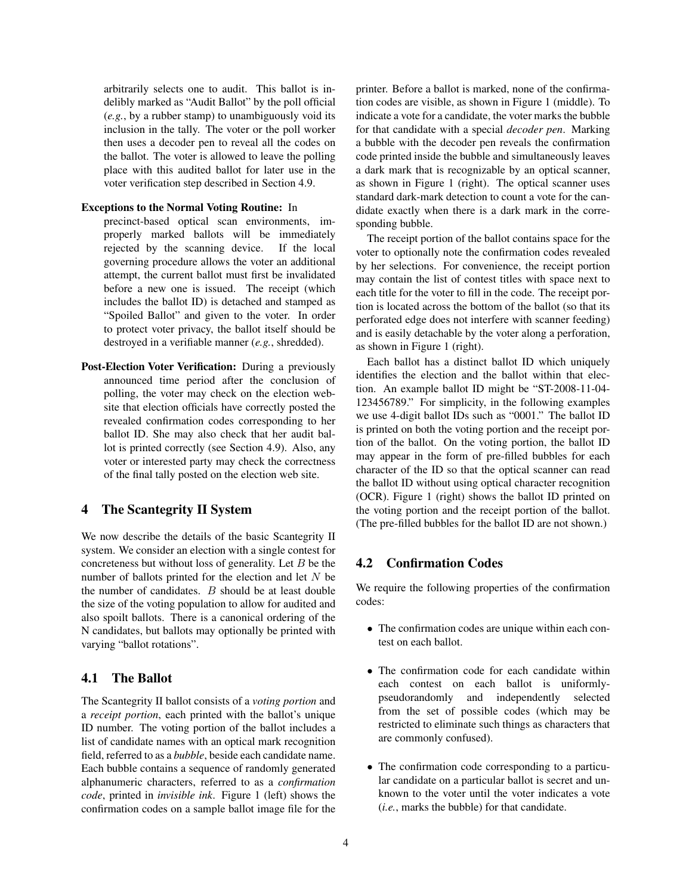arbitrarily selects one to audit. This ballot is indelibly marked as "Audit Ballot" by the poll official (*e.g.*, by a rubber stamp) to unambiguously void its inclusion in the tally. The voter or the poll worker then uses a decoder pen to reveal all the codes on the ballot. The voter is allowed to leave the polling place with this audited ballot for later use in the voter verification step described in Section 4.9.

#### Exceptions to the Normal Voting Routine: In

- precinct-based optical scan environments, improperly marked ballots will be immediately rejected by the scanning device. If the local governing procedure allows the voter an additional attempt, the current ballot must first be invalidated before a new one is issued. The receipt (which includes the ballot ID) is detached and stamped as "Spoiled Ballot" and given to the voter. In order to protect voter privacy, the ballot itself should be destroyed in a verifiable manner (*e.g.*, shredded).
- Post-Election Voter Verification: During a previously announced time period after the conclusion of polling, the voter may check on the election website that election officials have correctly posted the revealed confirmation codes corresponding to her ballot ID. She may also check that her audit ballot is printed correctly (see Section 4.9). Also, any voter or interested party may check the correctness of the final tally posted on the election web site.

### 4 The Scantegrity II System

We now describe the details of the basic Scantegrity II system. We consider an election with a single contest for concreteness but without loss of generality. Let  $B$  be the number of ballots printed for the election and let  $N$  be the number of candidates. B should be at least double the size of the voting population to allow for audited and also spoilt ballots. There is a canonical ordering of the N candidates, but ballots may optionally be printed with varying "ballot rotations".

### 4.1 The Ballot

The Scantegrity II ballot consists of a *voting portion* and a *receipt portion*, each printed with the ballot's unique ID number. The voting portion of the ballot includes a list of candidate names with an optical mark recognition field, referred to as a *bubble*, beside each candidate name. Each bubble contains a sequence of randomly generated alphanumeric characters, referred to as a *confirmation code*, printed in *invisible ink*. Figure 1 (left) shows the confirmation codes on a sample ballot image file for the printer. Before a ballot is marked, none of the confirmation codes are visible, as shown in Figure 1 (middle). To indicate a vote for a candidate, the voter marks the bubble for that candidate with a special *decoder pen*. Marking a bubble with the decoder pen reveals the confirmation code printed inside the bubble and simultaneously leaves a dark mark that is recognizable by an optical scanner, as shown in Figure 1 (right). The optical scanner uses standard dark-mark detection to count a vote for the candidate exactly when there is a dark mark in the corresponding bubble.

The receipt portion of the ballot contains space for the voter to optionally note the confirmation codes revealed by her selections. For convenience, the receipt portion may contain the list of contest titles with space next to each title for the voter to fill in the code. The receipt portion is located across the bottom of the ballot (so that its perforated edge does not interfere with scanner feeding) and is easily detachable by the voter along a perforation, as shown in Figure 1 (right).

Each ballot has a distinct ballot ID which uniquely identifies the election and the ballot within that election. An example ballot ID might be "ST-2008-11-04- 123456789." For simplicity, in the following examples we use 4-digit ballot IDs such as "0001." The ballot ID is printed on both the voting portion and the receipt portion of the ballot. On the voting portion, the ballot ID may appear in the form of pre-filled bubbles for each character of the ID so that the optical scanner can read the ballot ID without using optical character recognition (OCR). Figure 1 (right) shows the ballot ID printed on the voting portion and the receipt portion of the ballot. (The pre-filled bubbles for the ballot ID are not shown.)

# 4.2 Confirmation Codes

We require the following properties of the confirmation codes:

- The confirmation codes are unique within each contest on each ballot.
- The confirmation code for each candidate within each contest on each ballot is uniformlypseudorandomly and independently selected from the set of possible codes (which may be restricted to eliminate such things as characters that are commonly confused).
- The confirmation code corresponding to a particular candidate on a particular ballot is secret and unknown to the voter until the voter indicates a vote (*i.e.*, marks the bubble) for that candidate.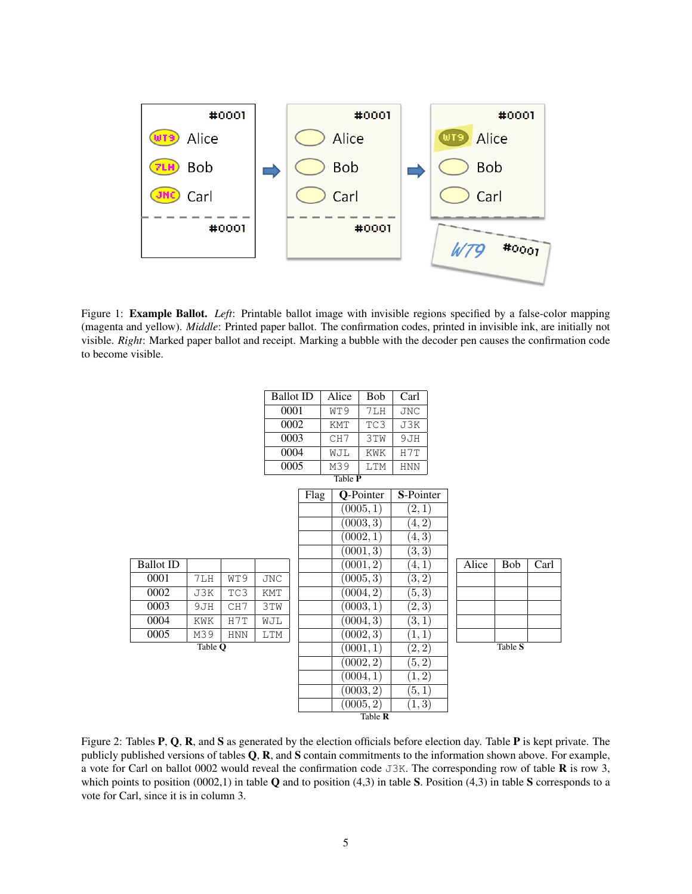

Figure 1: Example Ballot. *Left*: Printable ballot image with invisible regions specified by a false-color mapping (magenta and yellow). *Middle*: Printed paper ballot. The confirmation codes, printed in invisible ink, are initially not visible. *Right*: Marked paper ballot and receipt. Marking a bubble with the decoder pen causes the confirmation code to become visible.

|                  |     |            | <b>Ballot ID</b> |           |           | Alice      | <b>Bob</b> | Carl       |  |  |       |            |      |
|------------------|-----|------------|------------------|-----------|-----------|------------|------------|------------|--|--|-------|------------|------|
|                  |     |            | 0001             |           |           | WT9<br>7LH |            | <b>JNC</b> |  |  |       |            |      |
|                  |     |            |                  | 0002      |           | KMT        | TC3        | J3K        |  |  |       |            |      |
|                  |     |            |                  | 0003      |           | CH7        | 3TW        | 9JH        |  |  |       |            |      |
|                  |     |            |                  | 0004      |           | WJL        | KWK        | H7T        |  |  |       |            |      |
|                  |     |            |                  | 0005      |           | M39        | LTM        | <b>HNN</b> |  |  |       |            |      |
| Table P          |     |            |                  |           |           |            |            |            |  |  |       |            |      |
|                  |     | Flag       |                  | Q-Pointer |           | S-Pointer  |            |            |  |  |       |            |      |
|                  |     |            |                  | (0005, 1) |           | (2,1)      |            |            |  |  |       |            |      |
|                  |     |            |                  |           |           | (0003, 3)  |            | (4, 2)     |  |  |       |            |      |
|                  |     |            |                  |           |           | (0002, 1)  |            | (4,3)      |  |  |       |            |      |
|                  |     |            |                  |           |           |            | (0001, 3)  | (3,3)      |  |  |       |            |      |
| <b>Ballot ID</b> |     |            |                  |           |           |            | (0001, 2)  | (4,1)      |  |  | Alice | <b>Bob</b> | Carl |
| 0001             | 7LH | WT9        | <b>JNC</b>       |           |           |            | (0005, 3)  | (3, 2)     |  |  |       |            |      |
| 0002             | J3K | TC3        | KMT              |           |           |            | (0004, 2)  | (5,3)      |  |  |       |            |      |
| 0003             | 9JH | CH7        | 3TW              |           |           |            | (0003, 1)  | (2,3)      |  |  |       |            |      |
| 0004             | KWK | H7T        | WJL              |           |           |            | (0004, 3)  | (3,1)      |  |  |       |            |      |
| 0005             | M39 | <b>HNN</b> | <b>LTM</b>       |           |           |            | (0002, 3)  | (1,1)      |  |  |       |            |      |
| Table Q          |     |            |                  |           | (0001, 1) |            |            | (2,2)      |  |  |       | Table S    |      |
|                  |     |            |                  |           |           |            | (0002, 2)  | (5,2)      |  |  |       |            |      |
|                  |     |            |                  |           |           |            | (0004, 1)  | (1,2)      |  |  |       |            |      |
|                  |     |            |                  |           |           |            | (0003, 2)  | (5,1)      |  |  |       |            |      |
|                  |     |            |                  |           |           |            | (0005, 2)  | (1,3)      |  |  |       |            |      |
| Table R          |     |            |                  |           |           |            |            |            |  |  |       |            |      |

Figure 2: Tables **P**, **Q**, **R**, and **S** as generated by the election officials before election day. Table **P** is kept private. The publicly published versions of tables  $Q$ ,  $R$ , and  $S$  contain commitments to the information shown above. For example, a vote for Carl on ballot 0002 would reveal the confirmation code  $J3K$ . The corresponding row of table **R** is row 3, which points to position  $(0002,1)$  in table Q and to position  $(4,3)$  in table S. Position  $(4,3)$  in table S corresponds to a vote for Carl, since it is in column 3.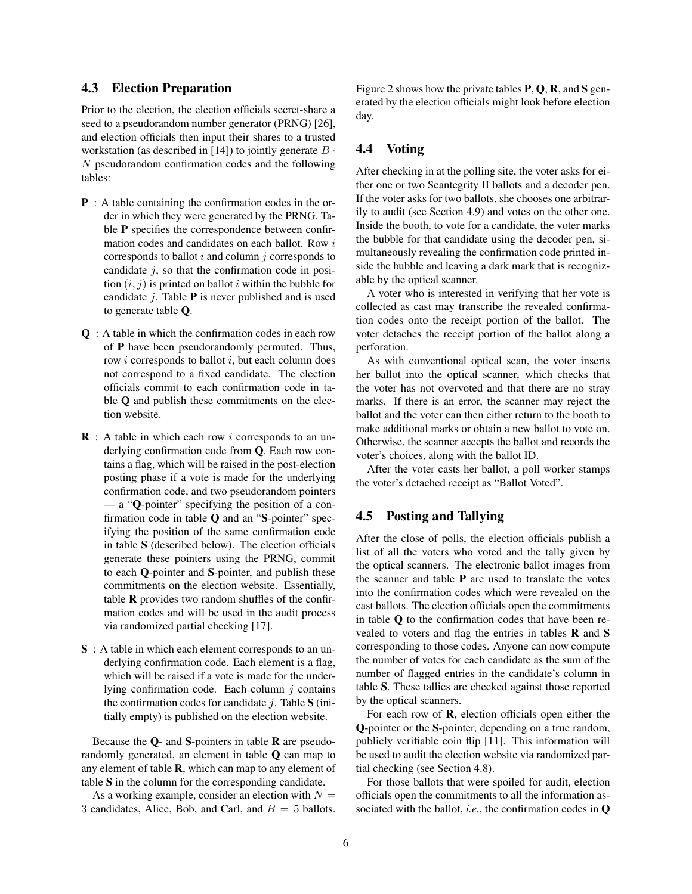#### 4.3 Election Preparation

Prior to the election, the election officials secret-share a seed to a pseudorandom number generator (PRNG) [26], and election officials then input their shares to a trusted workstation (as described in [14]) to jointly generate  $B \cdot$ N pseudorandom confirmation codes and the following tables:

- P : A table containing the confirmation codes in the order in which they were generated by the PRNG. Table P specifies the correspondence between confirmation codes and candidates on each ballot. Row i corresponds to ballot  $i$  and column  $j$  corresponds to candidate  $j$ , so that the confirmation code in position  $(i, j)$  is printed on ballot i within the bubble for candidate  $j$ . Table **P** is never published and is used to generate table Q.
- Q : A table in which the confirmation codes in each row of P have been pseudorandomly permuted. Thus, row  $i$  corresponds to ballot  $i$ , but each column does not correspond to a fixed candidate. The election officials commit to each confirmation code in table **Q** and publish these commitments on the election website.
- **: A table in which each row** *i* **corresponds to an un**derlying confirmation code from Q. Each row contains a flag, which will be raised in the post-election posting phase if a vote is made for the underlying confirmation code, and two pseudorandom pointers — a "Q-pointer" specifying the position of a confirmation code in table  $Q$  and an "S-pointer" specifying the position of the same confirmation code in table S (described below). The election officials generate these pointers using the PRNG, commit to each Q-pointer and S-pointer, and publish these commitments on the election website. Essentially, table  **provides two random shuffles of the confir**mation codes and will be used in the audit process via randomized partial checking [17].
- S : A table in which each element corresponds to an underlying confirmation code. Each element is a flag, which will be raised if a vote is made for the underlying confirmation code. Each column  $j$  contains the confirmation codes for candidate  $j$ . Table S (initially empty) is published on the election website.

Because the  $Q$ - and S-pointers in table  $R$  are pseudorandomly generated, an element in table Q can map to any element of table  $\bf{R}$ , which can map to any element of table S in the column for the corresponding candidate.

As a working example, consider an election with  $N =$ 3 candidates, Alice, Bob, and Carl, and  $B = 5$  ballots. Figure 2 shows how the private tables  $P$ ,  $Q$ ,  $R$ , and  $S$  generated by the election officials might look before election day.

#### 4.4 Voting

After checking in at the polling site, the voter asks for either one or two Scantegrity II ballots and a decoder pen. If the voter asks for two ballots, she chooses one arbitrarily to audit (see Section 4.9) and votes on the other one. Inside the booth, to vote for a candidate, the voter marks the bubble for that candidate using the decoder pen, simultaneously revealing the confirmation code printed inside the bubble and leaving a dark mark that is recognizable by the optical scanner.

A voter who is interested in verifying that her vote is collected as cast may transcribe the revealed confirmation codes onto the receipt portion of the ballot. The voter detaches the receipt portion of the ballot along a perforation.

As with conventional optical scan, the voter inserts her ballot into the optical scanner, which checks that the voter has not overvoted and that there are no stray marks. If there is an error, the scanner may reject the ballot and the voter can then either return to the booth to make additional marks or obtain a new ballot to vote on. Otherwise, the scanner accepts the ballot and records the voter's choices, along with the ballot ID.

After the voter casts her ballot, a poll worker stamps the voter's detached receipt as "Ballot Voted".

#### 4.5 Posting and Tallying

After the close of polls, the election officials publish a list of all the voters who voted and the tally given by the optical scanners. The electronic ballot images from the scanner and table  $P$  are used to translate the votes into the confirmation codes which were revealed on the cast ballots. The election officials open the commitments in table Q to the confirmation codes that have been revealed to voters and flag the entries in tables R and S corresponding to those codes. Anyone can now compute the number of votes for each candidate as the sum of the number of flagged entries in the candidate's column in table S. These tallies are checked against those reported by the optical scanners.

For each row of **, election officials open either the** Q-pointer or the S-pointer, depending on a true random, publicly verifiable coin flip [11]. This information will be used to audit the election website via randomized partial checking (see Section 4.8).

For those ballots that were spoiled for audit, election officials open the commitments to all the information associated with the ballot, *i.e.*, the confirmation codes in Q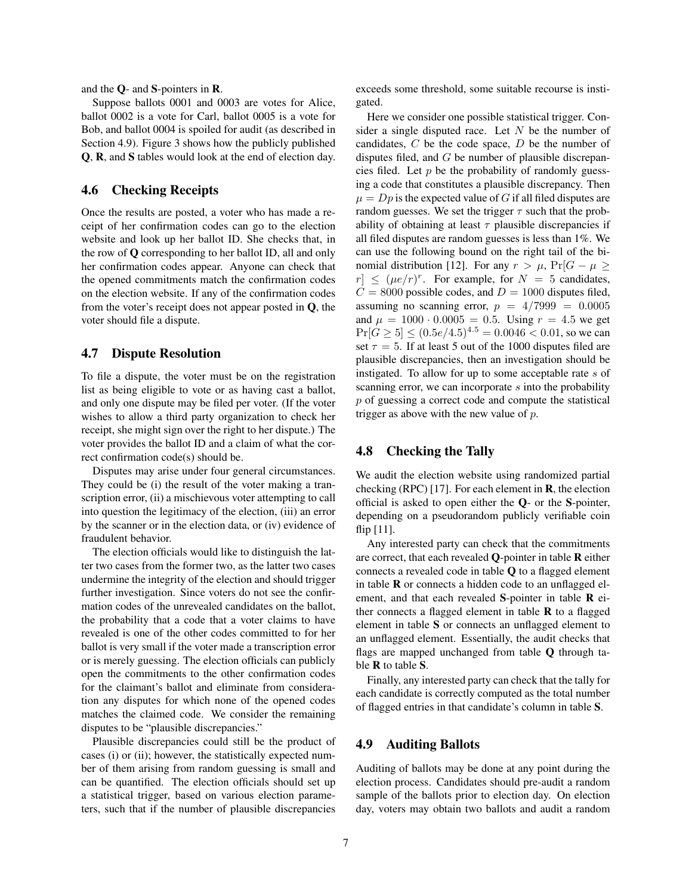and the Q- and S-pointers in R.

Suppose ballots 0001 and 0003 are votes for Alice, ballot 0002 is a vote for Carl, ballot 0005 is a vote for Bob, and ballot 0004 is spoiled for audit (as described in Section 4.9). Figure 3 shows how the publicly published Q, R, and S tables would look at the end of election day.

#### 4.6 Checking Receipts

Once the results are posted, a voter who has made a receipt of her confirmation codes can go to the election website and look up her ballot ID. She checks that, in the row of Q corresponding to her ballot ID, all and only her confirmation codes appear. Anyone can check that the opened commitments match the confirmation codes on the election website. If any of the confirmation codes from the voter's receipt does not appear posted in Q, the voter should file a dispute.

#### 4.7 Dispute Resolution

To file a dispute, the voter must be on the registration list as being eligible to vote or as having cast a ballot, and only one dispute may be filed per voter. (If the voter wishes to allow a third party organization to check her receipt, she might sign over the right to her dispute.) The voter provides the ballot ID and a claim of what the correct confirmation code(s) should be.

Disputes may arise under four general circumstances. They could be (i) the result of the voter making a transcription error, (ii) a mischievous voter attempting to call into question the legitimacy of the election, (iii) an error by the scanner or in the election data, or (iv) evidence of fraudulent behavior.

The election officials would like to distinguish the latter two cases from the former two, as the latter two cases undermine the integrity of the election and should trigger further investigation. Since voters do not see the confirmation codes of the unrevealed candidates on the ballot, the probability that a code that a voter claims to have revealed is one of the other codes committed to for her ballot is very small if the voter made a transcription error or is merely guessing. The election officials can publicly open the commitments to the other confirmation codes for the claimant's ballot and eliminate from consideration any disputes for which none of the opened codes matches the claimed code. We consider the remaining disputes to be "plausible discrepancies."

Plausible discrepancies could still be the product of cases (i) or (ii); however, the statistically expected number of them arising from random guessing is small and can be quantified. The election officials should set up a statistical trigger, based on various election parameters, such that if the number of plausible discrepancies exceeds some threshold, some suitable recourse is instigated.

Here we consider one possible statistical trigger. Consider a single disputed race. Let  $N$  be the number of candidates,  $C$  be the code space,  $D$  be the number of disputes filed, and G be number of plausible discrepancies filed. Let  $p$  be the probability of randomly guessing a code that constitutes a plausible discrepancy. Then  $\mu = Dp$  is the expected value of G if all filed disputes are random guesses. We set the trigger  $\tau$  such that the probability of obtaining at least  $\tau$  plausible discrepancies if all filed disputes are random guesses is less than 1%. We can use the following bound on the right tail of the binomial distribution [12]. For any  $r > \mu$ ,  $Pr[G - \mu \geq$  $|r| \leq (\mu e/r)^r$ . For example, for  $N = 5$  candidates,  $C = 8000$  possible codes, and  $D = 1000$  disputes filed, assuming no scanning error,  $p = 4/7999 = 0.0005$ and  $\mu = 1000 \cdot 0.0005 = 0.5$ . Using  $r = 4.5$  we get  $Pr[G \ge 5] \le (0.5e/4.5)^{4.5} = 0.0046 < 0.01$ , so we can set  $\tau = 5$ . If at least 5 out of the 1000 disputes filed are plausible discrepancies, then an investigation should be instigated. To allow for up to some acceptable rate s of scanning error, we can incorporate s into the probability p of guessing a correct code and compute the statistical trigger as above with the new value of  $p$ .

### 4.8 Checking the Tally

We audit the election website using randomized partial checking (RPC) [17]. For each element in **, the election** official is asked to open either the Q- or the S-pointer, depending on a pseudorandom publicly verifiable coin flip [11].

Any interested party can check that the commitments are correct, that each revealed Q-pointer in table R either connects a revealed code in table Q to a flagged element in table  $\bf{R}$  or connects a hidden code to an unflagged element, and that each revealed S-pointer in table R either connects a flagged element in table  **to a flagged** element in table S or connects an unflagged element to an unflagged element. Essentially, the audit checks that flags are mapped unchanged from table Q through table R to table S.

Finally, any interested party can check that the tally for each candidate is correctly computed as the total number of flagged entries in that candidate's column in table S.

### 4.9 Auditing Ballots

Auditing of ballots may be done at any point during the election process. Candidates should pre-audit a random sample of the ballots prior to election day. On election day, voters may obtain two ballots and audit a random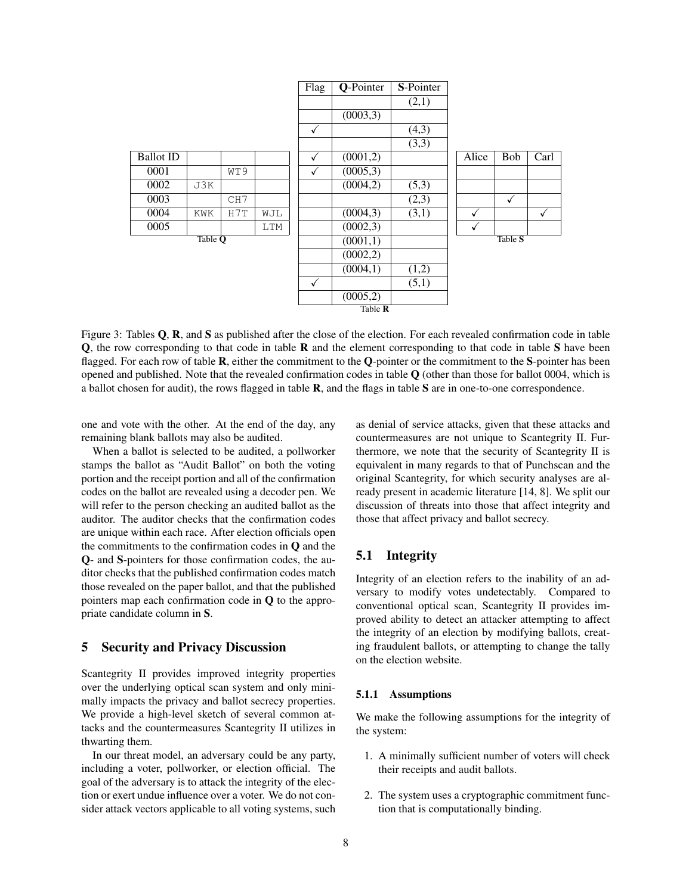

Figure 3: Tables Q, R, and S as published after the close of the election. For each revealed confirmation code in table Q, the row corresponding to that code in table R and the element corresponding to that code in table S have been flagged. For each row of table **R**, either the commitment to the Q-pointer or the commitment to the S-pointer has been opened and published. Note that the revealed confirmation codes in table  $\bf{Q}$  (other than those for ballot 0004, which is a ballot chosen for audit), the rows flagged in table R, and the flags in table S are in one-to-one correspondence.

one and vote with the other. At the end of the day, any remaining blank ballots may also be audited.

When a ballot is selected to be audited, a pollworker stamps the ballot as "Audit Ballot" on both the voting portion and the receipt portion and all of the confirmation codes on the ballot are revealed using a decoder pen. We will refer to the person checking an audited ballot as the auditor. The auditor checks that the confirmation codes are unique within each race. After election officials open the commitments to the confirmation codes in Q and the Q- and S-pointers for those confirmation codes, the auditor checks that the published confirmation codes match those revealed on the paper ballot, and that the published pointers map each confirmation code in Q to the appropriate candidate column in S.

# 5 Security and Privacy Discussion

Scantegrity II provides improved integrity properties over the underlying optical scan system and only minimally impacts the privacy and ballot secrecy properties. We provide a high-level sketch of several common attacks and the countermeasures Scantegrity II utilizes in thwarting them.

In our threat model, an adversary could be any party, including a voter, pollworker, or election official. The goal of the adversary is to attack the integrity of the election or exert undue influence over a voter. We do not consider attack vectors applicable to all voting systems, such as denial of service attacks, given that these attacks and countermeasures are not unique to Scantegrity II. Furthermore, we note that the security of Scantegrity II is equivalent in many regards to that of Punchscan and the original Scantegrity, for which security analyses are already present in academic literature [14, 8]. We split our discussion of threats into those that affect integrity and those that affect privacy and ballot secrecy.

### 5.1 Integrity

Integrity of an election refers to the inability of an adversary to modify votes undetectably. Compared to conventional optical scan, Scantegrity II provides improved ability to detect an attacker attempting to affect the integrity of an election by modifying ballots, creating fraudulent ballots, or attempting to change the tally on the election website.

#### 5.1.1 Assumptions

We make the following assumptions for the integrity of the system:

- 1. A minimally sufficient number of voters will check their receipts and audit ballots.
- 2. The system uses a cryptographic commitment function that is computationally binding.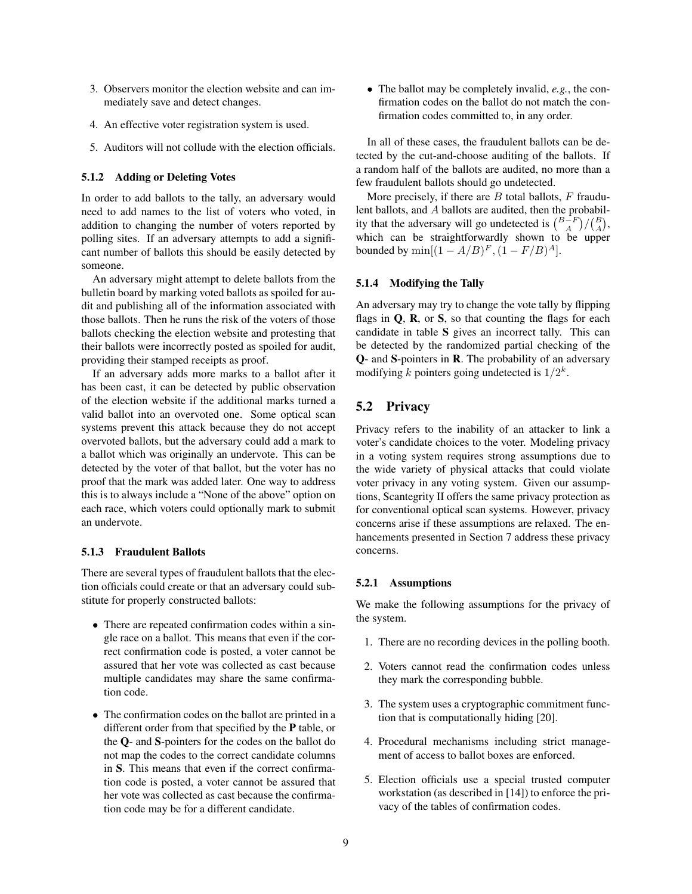- 3. Observers monitor the election website and can immediately save and detect changes.
- 4. An effective voter registration system is used.
- 5. Auditors will not collude with the election officials.

#### 5.1.2 Adding or Deleting Votes

In order to add ballots to the tally, an adversary would need to add names to the list of voters who voted, in addition to changing the number of voters reported by polling sites. If an adversary attempts to add a significant number of ballots this should be easily detected by someone.

An adversary might attempt to delete ballots from the bulletin board by marking voted ballots as spoiled for audit and publishing all of the information associated with those ballots. Then he runs the risk of the voters of those ballots checking the election website and protesting that their ballots were incorrectly posted as spoiled for audit, providing their stamped receipts as proof.

If an adversary adds more marks to a ballot after it has been cast, it can be detected by public observation of the election website if the additional marks turned a valid ballot into an overvoted one. Some optical scan systems prevent this attack because they do not accept overvoted ballots, but the adversary could add a mark to a ballot which was originally an undervote. This can be detected by the voter of that ballot, but the voter has no proof that the mark was added later. One way to address this is to always include a "None of the above" option on each race, which voters could optionally mark to submit an undervote.

#### 5.1.3 Fraudulent Ballots

There are several types of fraudulent ballots that the election officials could create or that an adversary could substitute for properly constructed ballots:

- There are repeated confirmation codes within a single race on a ballot. This means that even if the correct confirmation code is posted, a voter cannot be assured that her vote was collected as cast because multiple candidates may share the same confirmation code.
- The confirmation codes on the ballot are printed in a different order from that specified by the P table, or the Q- and S-pointers for the codes on the ballot do not map the codes to the correct candidate columns in S. This means that even if the correct confirmation code is posted, a voter cannot be assured that her vote was collected as cast because the confirmation code may be for a different candidate.

• The ballot may be completely invalid, *e.g.*, the confirmation codes on the ballot do not match the confirmation codes committed to, in any order.

In all of these cases, the fraudulent ballots can be detected by the cut-and-choose auditing of the ballots. If a random half of the ballots are audited, no more than a few fraudulent ballots should go undetected.

More precisely, if there are  $B$  total ballots,  $F$  fraudulent ballots, and A ballots are audited, then the probability that the adversary will go undetected is  $\binom{B-F}{A}/\binom{B}{A}$ , which can be straightforwardly shown to be upper bounded by  $\min[(1 - A/B)^F, (1 - F/B)^A]$ .

#### 5.1.4 Modifying the Tally

An adversary may try to change the vote tally by flipping flags in  $Q$ ,  $R$ , or  $S$ , so that counting the flags for each candidate in table S gives an incorrect tally. This can be detected by the randomized partial checking of the Q- and S-pointers in R. The probability of an adversary modifying k pointers going undetected is  $1/2^k$ .

# 5.2 Privacy

Privacy refers to the inability of an attacker to link a voter's candidate choices to the voter. Modeling privacy in a voting system requires strong assumptions due to the wide variety of physical attacks that could violate voter privacy in any voting system. Given our assumptions, Scantegrity II offers the same privacy protection as for conventional optical scan systems. However, privacy concerns arise if these assumptions are relaxed. The enhancements presented in Section 7 address these privacy concerns.

#### 5.2.1 Assumptions

We make the following assumptions for the privacy of the system.

- 1. There are no recording devices in the polling booth.
- 2. Voters cannot read the confirmation codes unless they mark the corresponding bubble.
- 3. The system uses a cryptographic commitment function that is computationally hiding [20].
- 4. Procedural mechanisms including strict management of access to ballot boxes are enforced.
- 5. Election officials use a special trusted computer workstation (as described in [14]) to enforce the privacy of the tables of confirmation codes.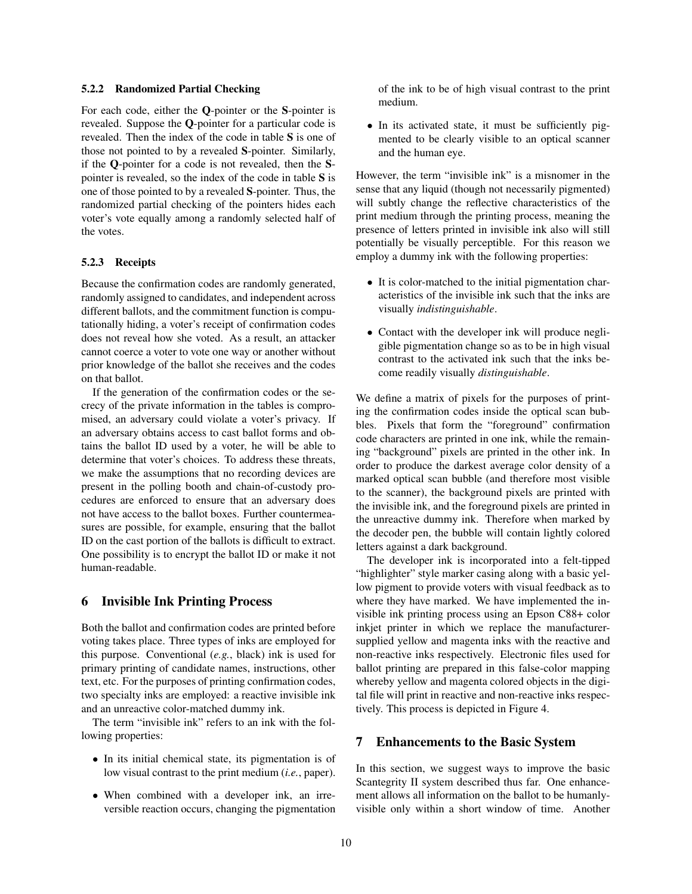#### 5.2.2 Randomized Partial Checking

For each code, either the Q-pointer or the S-pointer is revealed. Suppose the Q-pointer for a particular code is revealed. Then the index of the code in table S is one of those not pointed to by a revealed S-pointer. Similarly, if the Q-pointer for a code is not revealed, then the Spointer is revealed, so the index of the code in table S is one of those pointed to by a revealed S-pointer. Thus, the randomized partial checking of the pointers hides each voter's vote equally among a randomly selected half of the votes.

#### 5.2.3 Receipts

Because the confirmation codes are randomly generated, randomly assigned to candidates, and independent across different ballots, and the commitment function is computationally hiding, a voter's receipt of confirmation codes does not reveal how she voted. As a result, an attacker cannot coerce a voter to vote one way or another without prior knowledge of the ballot she receives and the codes on that ballot.

If the generation of the confirmation codes or the secrecy of the private information in the tables is compromised, an adversary could violate a voter's privacy. If an adversary obtains access to cast ballot forms and obtains the ballot ID used by a voter, he will be able to determine that voter's choices. To address these threats, we make the assumptions that no recording devices are present in the polling booth and chain-of-custody procedures are enforced to ensure that an adversary does not have access to the ballot boxes. Further countermeasures are possible, for example, ensuring that the ballot ID on the cast portion of the ballots is difficult to extract. One possibility is to encrypt the ballot ID or make it not human-readable.

#### 6 Invisible Ink Printing Process

Both the ballot and confirmation codes are printed before voting takes place. Three types of inks are employed for this purpose. Conventional (*e.g.*, black) ink is used for primary printing of candidate names, instructions, other text, etc. For the purposes of printing confirmation codes, two specialty inks are employed: a reactive invisible ink and an unreactive color-matched dummy ink.

The term "invisible ink" refers to an ink with the following properties:

- In its initial chemical state, its pigmentation is of low visual contrast to the print medium (*i.e.*, paper).
- When combined with a developer ink, an irreversible reaction occurs, changing the pigmentation

of the ink to be of high visual contrast to the print medium.

• In its activated state, it must be sufficiently pigmented to be clearly visible to an optical scanner and the human eye.

However, the term "invisible ink" is a misnomer in the sense that any liquid (though not necessarily pigmented) will subtly change the reflective characteristics of the print medium through the printing process, meaning the presence of letters printed in invisible ink also will still potentially be visually perceptible. For this reason we employ a dummy ink with the following properties:

- It is color-matched to the initial pigmentation characteristics of the invisible ink such that the inks are visually *indistinguishable*.
- Contact with the developer ink will produce negligible pigmentation change so as to be in high visual contrast to the activated ink such that the inks become readily visually *distinguishable*.

We define a matrix of pixels for the purposes of printing the confirmation codes inside the optical scan bubbles. Pixels that form the "foreground" confirmation code characters are printed in one ink, while the remaining "background" pixels are printed in the other ink. In order to produce the darkest average color density of a marked optical scan bubble (and therefore most visible to the scanner), the background pixels are printed with the invisible ink, and the foreground pixels are printed in the unreactive dummy ink. Therefore when marked by the decoder pen, the bubble will contain lightly colored letters against a dark background.

The developer ink is incorporated into a felt-tipped "highlighter" style marker casing along with a basic yellow pigment to provide voters with visual feedback as to where they have marked. We have implemented the invisible ink printing process using an Epson C88+ color inkjet printer in which we replace the manufacturersupplied yellow and magenta inks with the reactive and non-reactive inks respectively. Electronic files used for ballot printing are prepared in this false-color mapping whereby yellow and magenta colored objects in the digital file will print in reactive and non-reactive inks respectively. This process is depicted in Figure 4.

### 7 Enhancements to the Basic System

In this section, we suggest ways to improve the basic Scantegrity II system described thus far. One enhancement allows all information on the ballot to be humanlyvisible only within a short window of time. Another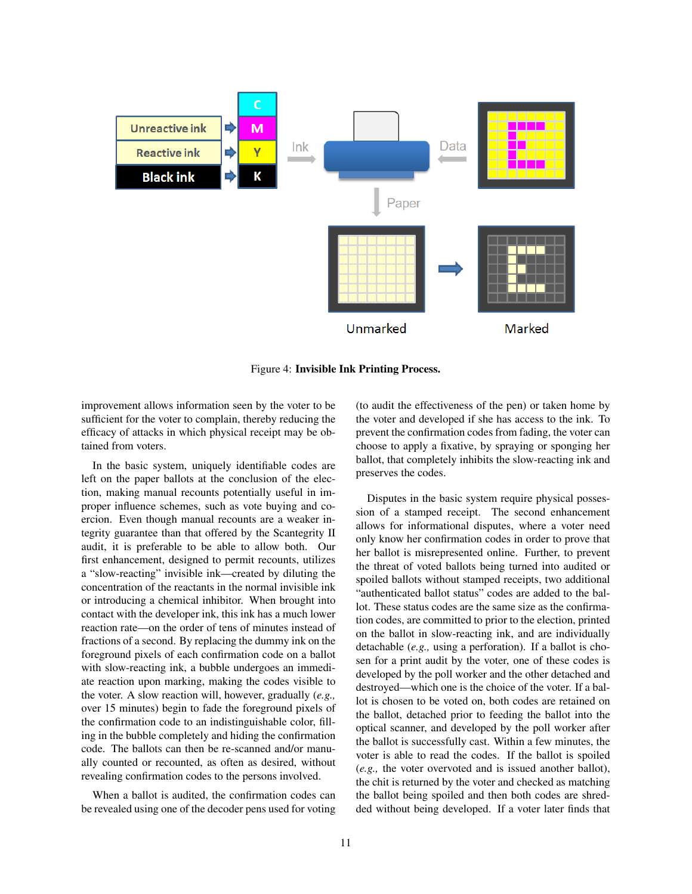

Figure 4: Invisible Ink Printing Process.

improvement allows information seen by the voter to be sufficient for the voter to complain, thereby reducing the efficacy of attacks in which physical receipt may be obtained from voters.

In the basic system, uniquely identifiable codes are left on the paper ballots at the conclusion of the election, making manual recounts potentially useful in improper influence schemes, such as vote buying and coercion. Even though manual recounts are a weaker integrity guarantee than that offered by the Scantegrity II audit, it is preferable to be able to allow both. Our first enhancement, designed to permit recounts, utilizes a "slow-reacting" invisible ink—created by diluting the concentration of the reactants in the normal invisible ink or introducing a chemical inhibitor. When brought into contact with the developer ink, this ink has a much lower reaction rate—on the order of tens of minutes instead of fractions of a second. By replacing the dummy ink on the foreground pixels of each confirmation code on a ballot with slow-reacting ink, a bubble undergoes an immediate reaction upon marking, making the codes visible to the voter. A slow reaction will, however, gradually (*e.g.,* over 15 minutes) begin to fade the foreground pixels of the confirmation code to an indistinguishable color, filling in the bubble completely and hiding the confirmation code. The ballots can then be re-scanned and/or manually counted or recounted, as often as desired, without revealing confirmation codes to the persons involved.

When a ballot is audited, the confirmation codes can be revealed using one of the decoder pens used for voting (to audit the effectiveness of the pen) or taken home by the voter and developed if she has access to the ink. To prevent the confirmation codes from fading, the voter can choose to apply a fixative, by spraying or sponging her ballot, that completely inhibits the slow-reacting ink and preserves the codes.

Disputes in the basic system require physical possession of a stamped receipt. The second enhancement allows for informational disputes, where a voter need only know her confirmation codes in order to prove that her ballot is misrepresented online. Further, to prevent the threat of voted ballots being turned into audited or spoiled ballots without stamped receipts, two additional "authenticated ballot status" codes are added to the ballot. These status codes are the same size as the confirmation codes, are committed to prior to the election, printed on the ballot in slow-reacting ink, and are individually detachable (*e.g.,* using a perforation). If a ballot is chosen for a print audit by the voter, one of these codes is developed by the poll worker and the other detached and destroyed—which one is the choice of the voter. If a ballot is chosen to be voted on, both codes are retained on the ballot, detached prior to feeding the ballot into the optical scanner, and developed by the poll worker after the ballot is successfully cast. Within a few minutes, the voter is able to read the codes. If the ballot is spoiled (*e.g.,* the voter overvoted and is issued another ballot), the chit is returned by the voter and checked as matching the ballot being spoiled and then both codes are shredded without being developed. If a voter later finds that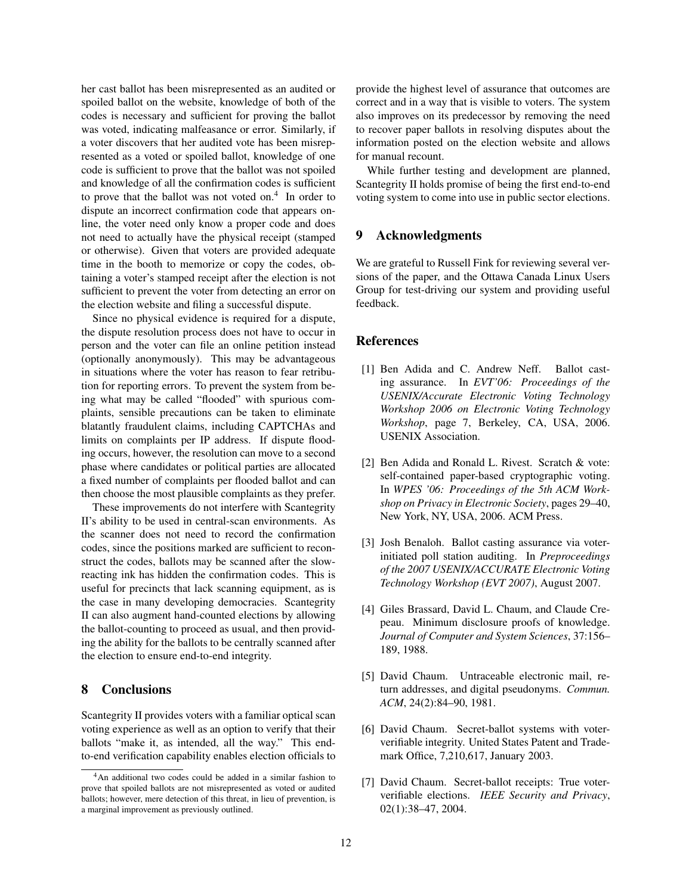her cast ballot has been misrepresented as an audited or spoiled ballot on the website, knowledge of both of the codes is necessary and sufficient for proving the ballot was voted, indicating malfeasance or error. Similarly, if a voter discovers that her audited vote has been misrepresented as a voted or spoiled ballot, knowledge of one code is sufficient to prove that the ballot was not spoiled and knowledge of all the confirmation codes is sufficient to prove that the ballot was not voted on.<sup>4</sup> In order to dispute an incorrect confirmation code that appears online, the voter need only know a proper code and does not need to actually have the physical receipt (stamped or otherwise). Given that voters are provided adequate time in the booth to memorize or copy the codes, obtaining a voter's stamped receipt after the election is not sufficient to prevent the voter from detecting an error on the election website and filing a successful dispute.

Since no physical evidence is required for a dispute, the dispute resolution process does not have to occur in person and the voter can file an online petition instead (optionally anonymously). This may be advantageous in situations where the voter has reason to fear retribution for reporting errors. To prevent the system from being what may be called "flooded" with spurious complaints, sensible precautions can be taken to eliminate blatantly fraudulent claims, including CAPTCHAs and limits on complaints per IP address. If dispute flooding occurs, however, the resolution can move to a second phase where candidates or political parties are allocated a fixed number of complaints per flooded ballot and can then choose the most plausible complaints as they prefer.

These improvements do not interfere with Scantegrity II's ability to be used in central-scan environments. As the scanner does not need to record the confirmation codes, since the positions marked are sufficient to reconstruct the codes, ballots may be scanned after the slowreacting ink has hidden the confirmation codes. This is useful for precincts that lack scanning equipment, as is the case in many developing democracies. Scantegrity II can also augment hand-counted elections by allowing the ballot-counting to proceed as usual, and then providing the ability for the ballots to be centrally scanned after the election to ensure end-to-end integrity.

### 8 Conclusions

Scantegrity II provides voters with a familiar optical scan voting experience as well as an option to verify that their ballots "make it, as intended, all the way." This endto-end verification capability enables election officials to provide the highest level of assurance that outcomes are correct and in a way that is visible to voters. The system also improves on its predecessor by removing the need to recover paper ballots in resolving disputes about the information posted on the election website and allows for manual recount.

While further testing and development are planned, Scantegrity II holds promise of being the first end-to-end voting system to come into use in public sector elections.

### 9 Acknowledgments

We are grateful to Russell Fink for reviewing several versions of the paper, and the Ottawa Canada Linux Users Group for test-driving our system and providing useful feedback.

# References

- [1] Ben Adida and C. Andrew Neff. Ballot casting assurance. In *EVT'06: Proceedings of the USENIX/Accurate Electronic Voting Technology Workshop 2006 on Electronic Voting Technology Workshop*, page 7, Berkeley, CA, USA, 2006. USENIX Association.
- [2] Ben Adida and Ronald L. Rivest. Scratch & vote: self-contained paper-based cryptographic voting. In *WPES '06: Proceedings of the 5th ACM Workshop on Privacy in Electronic Society*, pages 29–40, New York, NY, USA, 2006. ACM Press.
- [3] Josh Benaloh. Ballot casting assurance via voterinitiated poll station auditing. In *Preproceedings of the 2007 USENIX/ACCURATE Electronic Voting Technology Workshop (EVT 2007)*, August 2007.
- [4] Giles Brassard, David L. Chaum, and Claude Crepeau. Minimum disclosure proofs of knowledge. *Journal of Computer and System Sciences*, 37:156– 189, 1988.
- [5] David Chaum. Untraceable electronic mail, return addresses, and digital pseudonyms. *Commun. ACM*, 24(2):84–90, 1981.
- [6] David Chaum. Secret-ballot systems with voterverifiable integrity. United States Patent and Trademark Office, 7,210,617, January 2003.
- [7] David Chaum. Secret-ballot receipts: True voterverifiable elections. *IEEE Security and Privacy*, 02(1):38–47, 2004.

<sup>4</sup>An additional two codes could be added in a similar fashion to prove that spoiled ballots are not misrepresented as voted or audited ballots; however, mere detection of this threat, in lieu of prevention, is a marginal improvement as previously outlined.